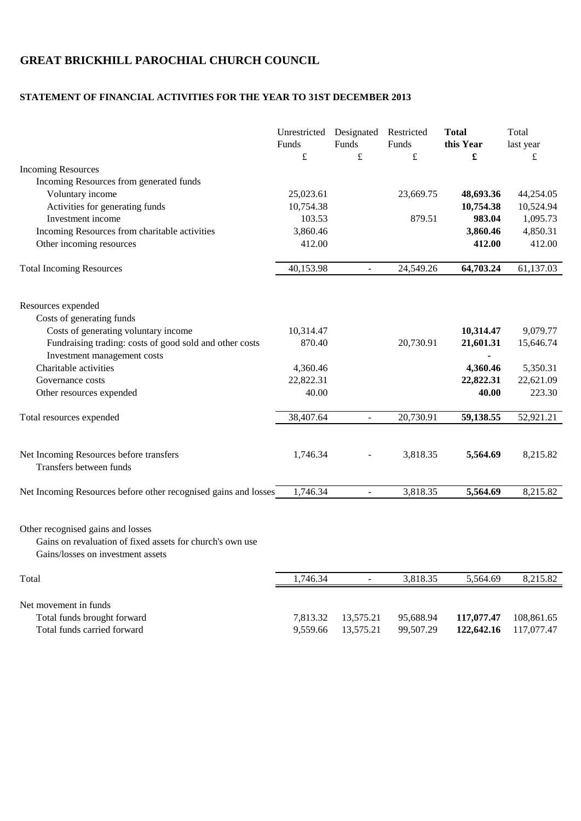## **GREAT BRICKHILL PAROCHIAL CHURCH COUNCIL**

## **STATEMENT OF FINANCIAL ACTIVITIES FOR THE YEAR TO 31ST DECEMBER 2013**

|                                                                                                                                     | Unrestricted Designated<br>Funds | Funds          | Restricted<br>Funds | <b>Total</b><br>this Year | Total          |
|-------------------------------------------------------------------------------------------------------------------------------------|----------------------------------|----------------|---------------------|---------------------------|----------------|
|                                                                                                                                     | $\pounds$                        | $\pounds$      | $\pounds$           | £                         | last year<br>£ |
| <b>Incoming Resources</b>                                                                                                           |                                  |                |                     |                           |                |
| Incoming Resources from generated funds                                                                                             |                                  |                |                     |                           |                |
| Voluntary income                                                                                                                    | 25,023.61                        |                | 23,669.75           | 48,693.36                 | 44,254.05      |
| Activities for generating funds                                                                                                     | 10,754.38                        |                |                     | 10,754.38                 | 10,524.94      |
| Investment income                                                                                                                   | 103.53                           |                | 879.51              | 983.04                    | 1,095.73       |
| Incoming Resources from charitable activities                                                                                       | 3,860.46                         |                |                     | 3,860.46                  | 4,850.31       |
| Other incoming resources                                                                                                            | 412.00                           |                |                     | 412.00                    | 412.00         |
| <b>Total Incoming Resources</b>                                                                                                     | 40,153.98                        | $\blacksquare$ | 24,549.26           | 64,703.24                 | 61,137.03      |
| Resources expended                                                                                                                  |                                  |                |                     |                           |                |
| Costs of generating funds                                                                                                           |                                  |                |                     |                           |                |
| Costs of generating voluntary income                                                                                                | 10,314.47                        |                |                     | 10,314.47                 | 9,079.77       |
| Fundraising trading: costs of good sold and other costs<br>Investment management costs                                              | 870.40                           |                | 20,730.91           | 21,601.31                 | 15,646.74      |
| Charitable activities                                                                                                               | 4,360.46                         |                |                     | 4,360.46                  | 5,350.31       |
| Governance costs                                                                                                                    | 22,822.31                        |                |                     | 22,822.31                 | 22,621.09      |
| Other resources expended                                                                                                            | 40.00                            |                |                     | 40.00                     | 223.30         |
| Total resources expended                                                                                                            | 38,407.64                        | $\blacksquare$ | 20,730.91           | 59,138.55                 | 52,921.21      |
|                                                                                                                                     |                                  |                |                     |                           |                |
| Net Incoming Resources before transfers<br>Transfers between funds                                                                  | 1,746.34                         |                | 3,818.35            | 5,564.69                  | 8,215.82       |
| Net Incoming Resources before other recognised gains and losses                                                                     | 1,746.34                         | $\omega$       | 3,818.35            | 5,564.69                  | 8,215.82       |
| Other recognised gains and losses<br>Gains on revaluation of fixed assets for church's own use<br>Gains/losses on investment assets |                                  |                |                     |                           |                |
| Total                                                                                                                               | 1,746.34                         | $\blacksquare$ | 3,818.35            | 5,564.69                  | 8,215.82       |
| Net movement in funds                                                                                                               |                                  |                |                     |                           |                |
| Total funds brought forward                                                                                                         | 7,813.32                         | 13,575.21      | 95,688.94           | 117,077.47                | 108,861.65     |
| Total funds carried forward                                                                                                         | 9,559.66                         | 13,575.21      | 99,507.29           | 122,642.16                | 117,077.47     |